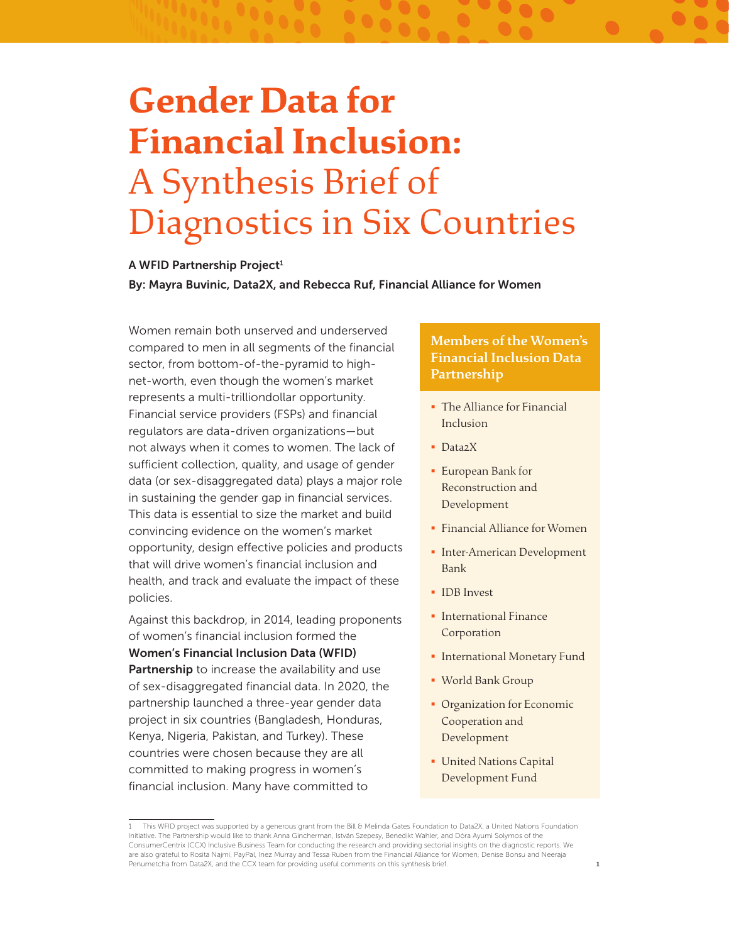# **Gender Data for Financial Inclusion:** A Synthesis Brief of Diagnostics in Six Countries

### A WFID Partnership Project<sup>1</sup>

By: Mayra Buvinic, Data2X, and Rebecca Ruf, Financial Alliance for Women

Women remain both unserved and underserved compared to men in all segments of the financial sector, from bottom-of-the-pyramid to highnet-worth, even though the women's market represents a multi-trilliondollar opportunity. Financial service providers (FSPs) and financial regulators are data-driven organizations—but not always when it comes to women. The lack of sufficient collection, quality, and usage of gender data (or sex-disaggregated data) plays a major role in sustaining the gender gap in financial services. This data is essential to size the market and build convincing evidence on the women's market opportunity, design effective policies and products that will drive women's financial inclusion and health, and track and evaluate the impact of these policies.

Against this backdrop, in 2014, leading proponents of women's financial inclusion formed the Women's Financial Inclusion Data (WFID) Partnership to increase the availability and use of sex-disaggregated financial data. In 2020, the partnership launched a three-year gender data project in six countries (Bangladesh, Honduras, Kenya, Nigeria, Pakistan, and Turkey). These countries were chosen because they are all committed to making progress in women's financial inclusion. Many have committed to

### **Members of the Women's Financial Inclusion Data Partnership**

- The Alliance for Financial Inclusion
- § Data2X
- § European Bank for Reconstruction and Development
- § Financial Alliance for Women
- **Inter-American Development** Bank
- § IDB Invest
- § International Finance Corporation
- § International Monetary Fund
- § World Bank Group
- **Organization for Economic** Cooperation and Development

1

§ United Nations Capital Development Fund

<sup>1</sup> This WFID project was supported by a generous grant from the Bill & Melinda Gates Foundation to Data2X, a United Nations Foundation Initiative. The Partnership would like to thank Anna Gincherman, István Szepesy, Benedikt Wahler, and Dóra Ayumi Solymos of the ConsumerCentrix (CCX) Inclusive Business Team for conducting the research and providing sectorial insights on the diagnostic reports. We are also grateful to Rosita Najmi, PayPal, Inez Murray and Tessa Ruben from the Financial Alliance for Women, Denise Bonsu and Neeraja Penumetcha from Data2X, and the CCX team for providing useful comments on this synthesis brief.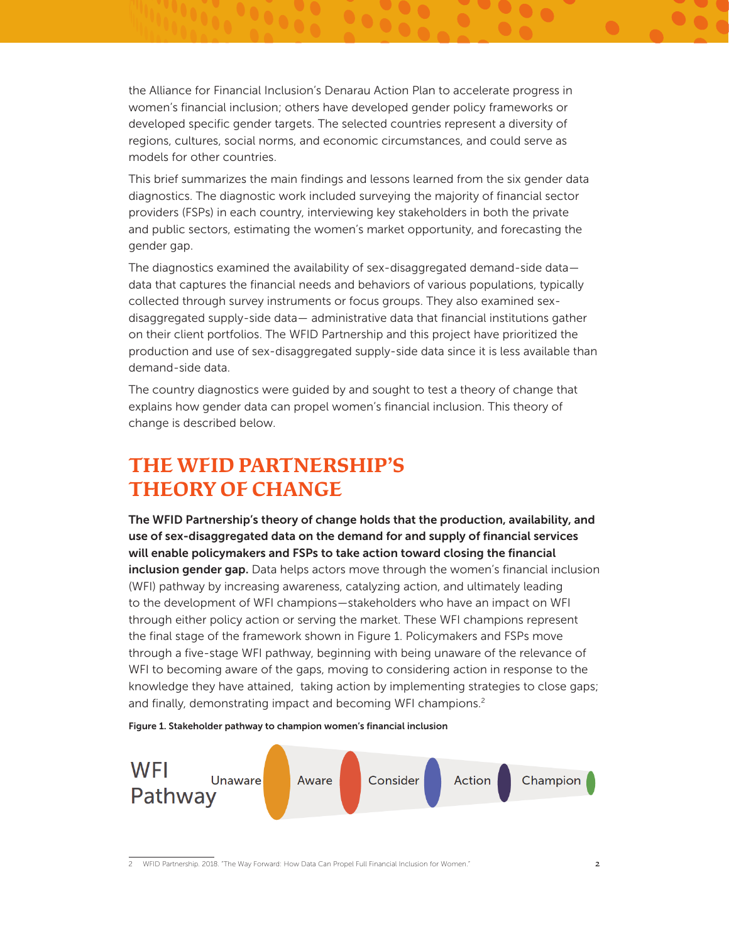the Alliance for Financial Inclusion's Denarau Action Plan to accelerate progress in women's financial inclusion; others have developed gender policy frameworks or developed specific gender targets. The selected countries represent a diversity of regions, cultures, social norms, and economic circumstances, and could serve as models for other countries.

This brief summarizes the main findings and lessons learned from the six gender data diagnostics. The diagnostic work included surveying the majority of financial sector providers (FSPs) in each country, interviewing key stakeholders in both the private and public sectors, estimating the women's market opportunity, and forecasting the gender gap.

The diagnostics examined the availability of sex-disaggregated demand-side data data that captures the financial needs and behaviors of various populations, typically collected through survey instruments or focus groups. They also examined sexdisaggregated supply-side data— administrative data that financial institutions gather on their client portfolios. The WFID Partnership and this project have prioritized the production and use of sex-disaggregated supply-side data since it is less available than demand-side data.

The country diagnostics were guided by and sought to test a theory of change that explains how gender data can propel women's financial inclusion. This theory of change is described below.

# **THE WFID PARTNERSHIP'S THEORY OF CHANGE**

The WFID Partnership's theory of change holds that the production, availability, and use of sex-disaggregated data on the demand for and supply of financial services will enable policymakers and FSPs to take action toward closing the financial inclusion gender gap. Data helps actors move through the women's financial inclusion (WFI) pathway by increasing awareness, catalyzing action, and ultimately leading to the development of WFI champions—stakeholders who have an impact on WFI through either policy action or serving the market. These WFI champions represent the final stage of the framework shown in Figure 1. Policymakers and FSPs move through a five-stage WFI pathway, beginning with being unaware of the relevance of WFI to becoming aware of the gaps, moving to considering action in response to the knowledge they have attained, taking action by implementing strategies to close gaps; and finally, demonstrating impact and becoming WFI champions.<sup>2</sup>

Figure 1. Stakeholder pathway to champion women's financial inclusion



2 WFID Partnership. 2018. "The Way Forward: How Data Can Propel Full Financial Inclusion for Women." 2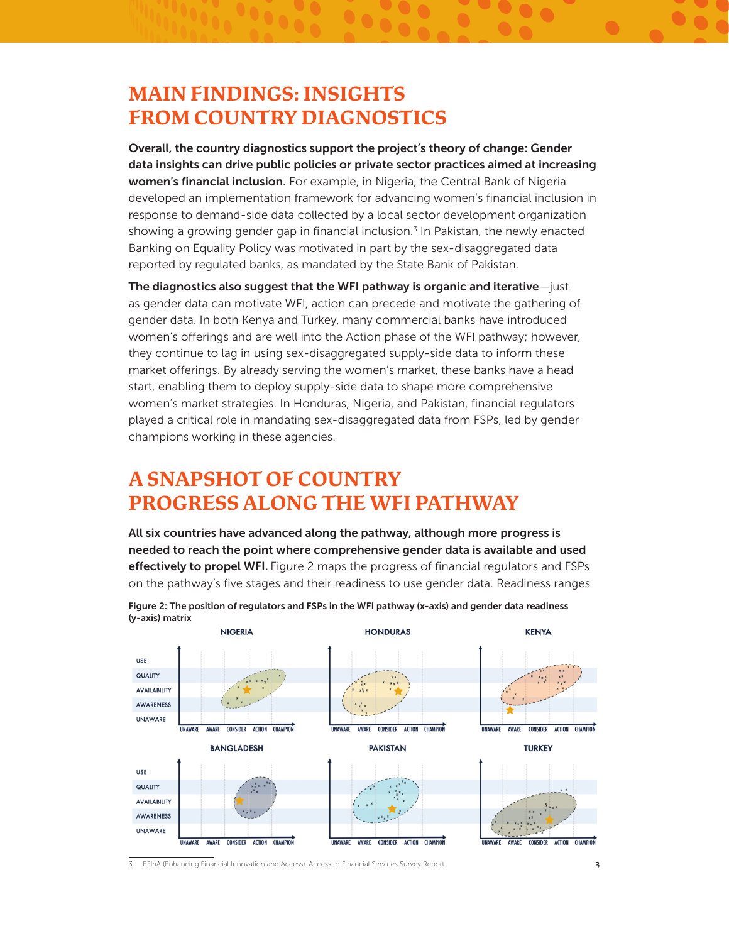## **MAIN FINDINGS: INSIGHTS FROM COUNTRY DIAGNOSTICS**

Overall, the country diagnostics support the project's theory of change: Gender data insights can drive public policies or private sector practices aimed at increasing women's financial inclusion. For example, in Nigeria, the Central Bank of Nigeria developed an implementation framework for advancing women's financial inclusion in response to demand-side data collected by a local sector development organization showing a growing gender gap in financial inclusion.<sup>3</sup> In Pakistan, the newly enacted Banking on Equality Policy was motivated in part by the sex-disaggregated data reported by regulated banks, as mandated by the State Bank of Pakistan.

The diagnostics also suggest that the WFI pathway is organic and iterative—just as gender data can motivate WFI, action can precede and motivate the gathering of gender data. In both Kenya and Turkey, many commercial banks have introduced women's offerings and are well into the Action phase of the WFI pathway; however, they continue to lag in using sex-disaggregated supply-side data to inform these market offerings. By already serving the women's market, these banks have a head start, enabling them to deploy supply-side data to shape more comprehensive women's market strategies. In Honduras, Nigeria, and Pakistan, financial regulators played a critical role in mandating sex-disaggregated data from FSPs, led by gender champions working in these agencies.

# **A SNAPSHOT OF COUNTRY PROGRESS ALONG THE WFI PATHWAY**

All six countries have advanced along the pathway, although more progress is needed to reach the point where comprehensive gender data is available and used effectively to propel WFI. Figure 2 maps the progress of financial regulators and FSPs on the pathway's five stages and their readiness to use gender data. Readiness ranges



Figure 2: The position of regulators and FSPs in the WFI pathway (x-axis) and gender data readiness (y-axis) matrix

3 EFInA (Enhancing Financial Innovation and Access). Access to Financial Services Survey Report.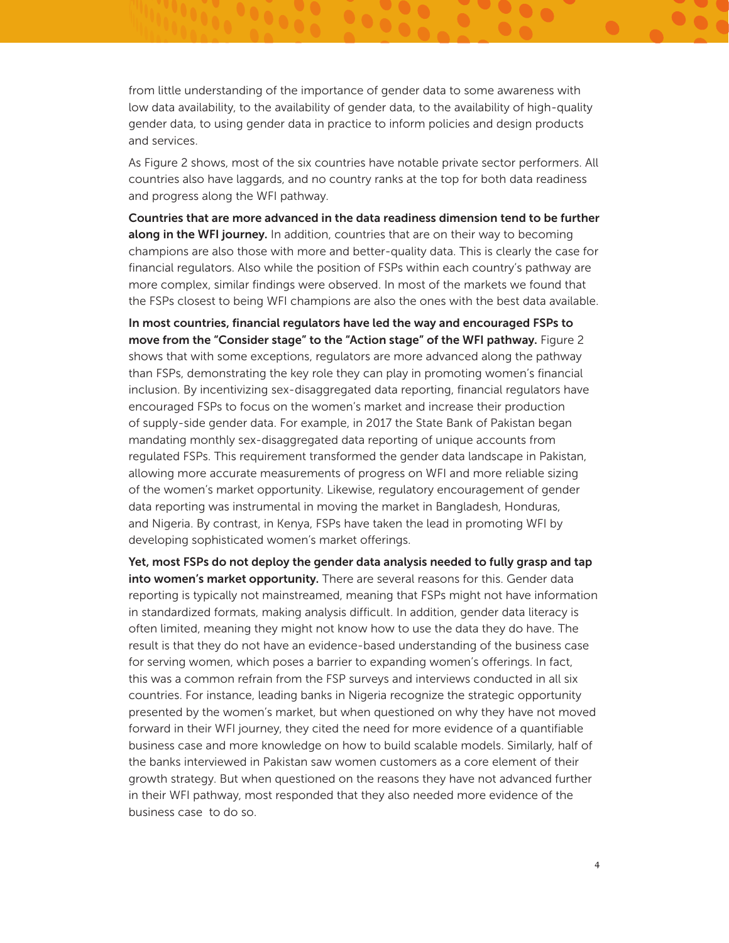from little understanding of the importance of gender data to some awareness with low data availability, to the availability of gender data, to the availability of high-quality gender data, to using gender data in practice to inform policies and design products and services.

As Figure 2 shows, most of the six countries have notable private sector performers. All countries also have laggards, and no country ranks at the top for both data readiness and progress along the WFI pathway.

Countries that are more advanced in the data readiness dimension tend to be further along in the WFI journey. In addition, countries that are on their way to becoming champions are also those with more and better-quality data. This is clearly the case for financial regulators. Also while the position of FSPs within each country's pathway are more complex, similar findings were observed. In most of the markets we found that the FSPs closest to being WFI champions are also the ones with the best data available.

In most countries, financial regulators have led the way and encouraged FSPs to move from the "Consider stage" to the "Action stage" of the WFI pathway. Figure 2 shows that with some exceptions, regulators are more advanced along the pathway than FSPs, demonstrating the key role they can play in promoting women's financial inclusion. By incentivizing sex-disaggregated data reporting, financial regulators have encouraged FSPs to focus on the women's market and increase their production of supply-side gender data. For example, in 2017 the State Bank of Pakistan began mandating monthly sex-disaggregated data reporting of unique accounts from regulated FSPs. This requirement transformed the gender data landscape in Pakistan, allowing more accurate measurements of progress on WFI and more reliable sizing of the women's market opportunity. Likewise, regulatory encouragement of gender data reporting was instrumental in moving the market in Bangladesh, Honduras, and Nigeria. By contrast, in Kenya, FSPs have taken the lead in promoting WFI by developing sophisticated women's market offerings.

Yet, most FSPs do not deploy the gender data analysis needed to fully grasp and tap into women's market opportunity. There are several reasons for this. Gender data reporting is typically not mainstreamed, meaning that FSPs might not have information in standardized formats, making analysis difficult. In addition, gender data literacy is often limited, meaning they might not know how to use the data they do have. The result is that they do not have an evidence-based understanding of the business case for serving women, which poses a barrier to expanding women's offerings. In fact, this was a common refrain from the FSP surveys and interviews conducted in all six countries. For instance, leading banks in Nigeria recognize the strategic opportunity presented by the women's market, but when questioned on why they have not moved forward in their WFI journey, they cited the need for more evidence of a quantifiable business case and more knowledge on how to build scalable models. Similarly, half of the banks interviewed in Pakistan saw women customers as a core element of their growth strategy. But when questioned on the reasons they have not advanced further in their WFI pathway, most responded that they also needed more evidence of the business case to do so.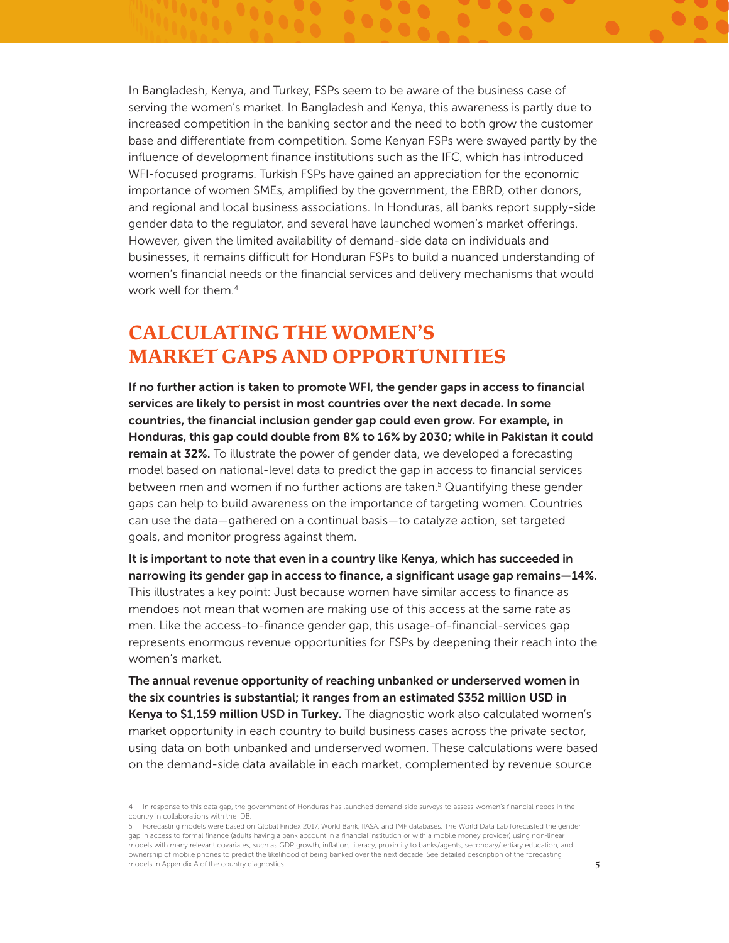In Bangladesh, Kenya, and Turkey, FSPs seem to be aware of the business case of serving the women's market. In Bangladesh and Kenya, this awareness is partly due to increased competition in the banking sector and the need to both grow the customer base and differentiate from competition. Some Kenyan FSPs were swayed partly by the influence of development finance institutions such as the IFC, which has introduced WFI-focused programs. Turkish FSPs have gained an appreciation for the economic importance of women SMEs, amplified by the government, the EBRD, other donors, and regional and local business associations. In Honduras, all banks report supply-side gender data to the regulator, and several have launched women's market offerings. However, given the limited availability of demand-side data on individuals and businesses, it remains difficult for Honduran FSPs to build a nuanced understanding of women's financial needs or the financial services and delivery mechanisms that would work well for them.<sup>4</sup>

### **CALCULATING THE WOMEN'S MARKET GAPS AND OPPORTUNITIES**

If no further action is taken to promote WFI, the gender gaps in access to financial services are likely to persist in most countries over the next decade. In some countries, the financial inclusion gender gap could even grow. For example, in Honduras, this gap could double from 8% to 16% by 2030; while in Pakistan it could **remain at 32%.** To illustrate the power of gender data, we developed a forecasting model based on national-level data to predict the gap in access to financial services between men and women if no further actions are taken.<sup>5</sup> Quantifying these gender gaps can help to build awareness on the importance of targeting women. Countries can use the data—gathered on a continual basis—to catalyze action, set targeted goals, and monitor progress against them.

It is important to note that even in a country like Kenya, which has succeeded in narrowing its gender gap in access to finance, a significant usage gap remains—14%. This illustrates a key point: Just because women have similar access to finance as mendoes not mean that women are making use of this access at the same rate as men. Like the access-to-finance gender gap, this usage-of-financial-services gap represents enormous revenue opportunities for FSPs by deepening their reach into the women's market.

The annual revenue opportunity of reaching unbanked or underserved women in the six countries is substantial; it ranges from an estimated \$352 million USD in Kenya to \$1,159 million USD in Turkey. The diagnostic work also calculated women's market opportunity in each country to build business cases across the private sector, using data on both unbanked and underserved women. These calculations were based on the demand-side data available in each market, complemented by revenue source

<sup>4</sup> In response to this data gap, the government of Honduras has launched demand-side surveys to assess women's financial needs in the country in collaborations with the IDB.

<sup>5</sup> Forecasting models were based on Global Findex 2017, World Bank, IIASA, and IMF databases. The World Data Lab forecasted the gender gap in access to formal finance (adults having a bank account in a financial institution or with a mobile money provider) using non-linear models with many relevant covariates, such as GDP growth, inflation, literacy, proximity to banks/agents, secondary/tertiary education, and ownership of mobile phones to predict the likelihood of being banked over the next decade. See detailed description of the forecasting models in Appendix A of the country diagnostics. **5** and the country diagnostics of the country diagnostics.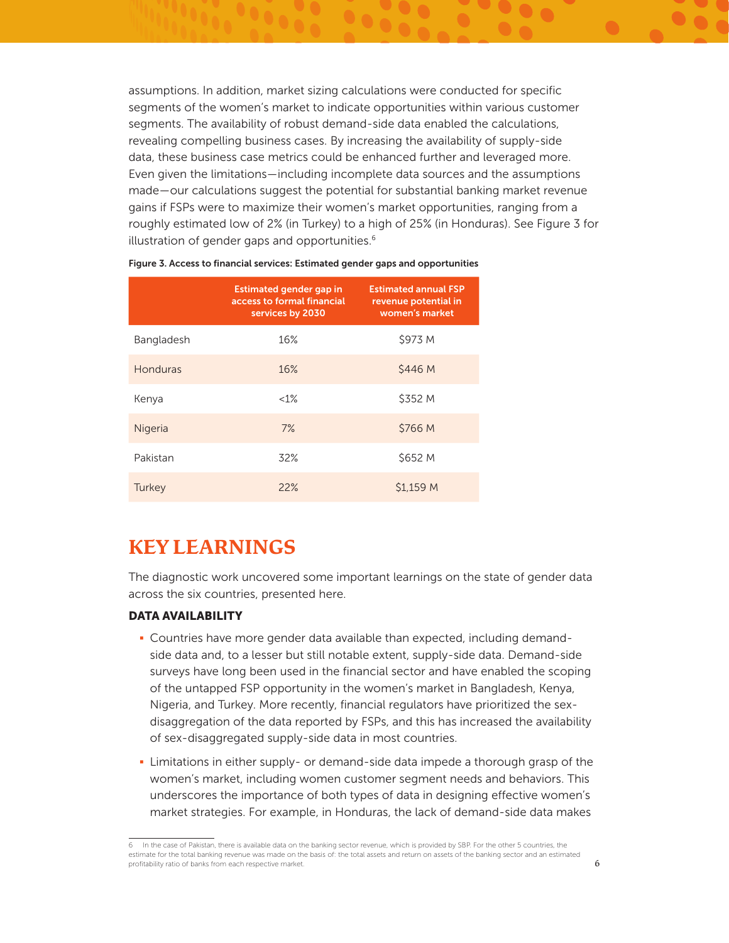assumptions. In addition, market sizing calculations were conducted for specific segments of the women's market to indicate opportunities within various customer segments. The availability of robust demand-side data enabled the calculations, revealing compelling business cases. By increasing the availability of supply-side data, these business case metrics could be enhanced further and leveraged more. Even given the limitations—including incomplete data sources and the assumptions made—our calculations suggest the potential for substantial banking market revenue gains if FSPs were to maximize their women's market opportunities, ranging from a roughly estimated low of 2% (in Turkey) to a high of 25% (in Honduras). See Figure 3 for illustration of gender gaps and opportunities.<sup>6</sup>

|            | <b>Estimated gender gap in</b><br>access to formal financial<br>services by 2030 | <b>Estimated annual FSP</b><br>revenue potential in<br>women's market |
|------------|----------------------------------------------------------------------------------|-----------------------------------------------------------------------|
| Bangladesh | 16%                                                                              | \$973 M                                                               |
| Honduras   | 16%                                                                              | \$446 M                                                               |
| Kenya      | $<1\%$                                                                           | \$352 M                                                               |
| Nigeria    | 7%                                                                               | \$766 M                                                               |
| Pakistan   | 32%                                                                              | \$652 M                                                               |
| Turkey     | 22%                                                                              | \$1.159 M                                                             |

|  |  |  | Figure 3. Access to financial services: Estimated gender gaps and opportunities |
|--|--|--|---------------------------------------------------------------------------------|
|  |  |  |                                                                                 |

### **KEY LEARNINGS**

The diagnostic work uncovered some important learnings on the state of gender data across the six countries, presented here.

### DATA AVAILABILITY

- Countries have more gender data available than expected, including demandside data and, to a lesser but still notable extent, supply-side data. Demand-side surveys have long been used in the financial sector and have enabled the scoping of the untapped FSP opportunity in the women's market in Bangladesh, Kenya, Nigeria, and Turkey. More recently, financial regulators have prioritized the sexdisaggregation of the data reported by FSPs, and this has increased the availability of sex-disaggregated supply-side data in most countries.
- Limitations in either supply- or demand-side data impede a thorough grasp of the women's market, including women customer segment needs and behaviors. This underscores the importance of both types of data in designing effective women's market strategies. For example, in Honduras, the lack of demand-side data makes

<sup>6</sup> In the case of Pakistan, there is available data on the banking sector revenue, which is provided by SBP. For the other 5 countries, the estimate for the total banking revenue was made on the basis of: the total assets and return on assets of the banking sector and an estimated profitability ratio of banks from each respective market. 6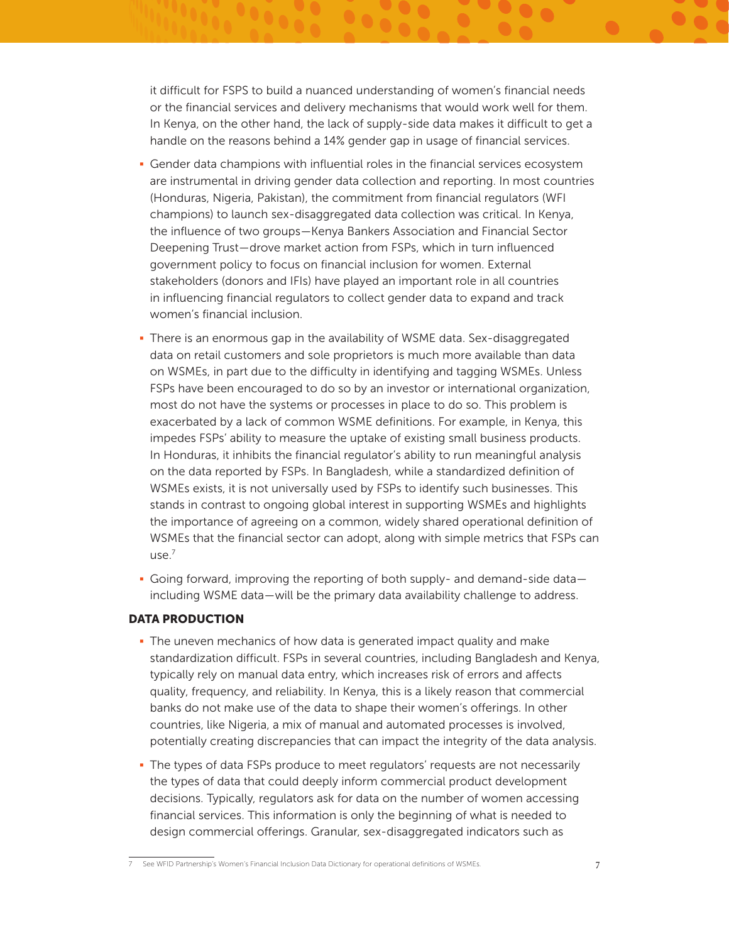it difficult for FSPS to build a nuanced understanding of women's financial needs or the financial services and delivery mechanisms that would work well for them. In Kenya, on the other hand, the lack of supply-side data makes it difficult to get a handle on the reasons behind a 14% gender gap in usage of financial services.

- Gender data champions with influential roles in the financial services ecosystem are instrumental in driving gender data collection and reporting. In most countries (Honduras, Nigeria, Pakistan), the commitment from financial regulators (WFI champions) to launch sex-disaggregated data collection was critical. In Kenya, the influence of two groups—Kenya Bankers Association and Financial Sector Deepening Trust—drove market action from FSPs, which in turn influenced government policy to focus on financial inclusion for women. External stakeholders (donors and IFIs) have played an important role in all countries in influencing financial regulators to collect gender data to expand and track women's financial inclusion.
- There is an enormous gap in the availability of WSME data. Sex-disaggregated data on retail customers and sole proprietors is much more available than data on WSMEs, in part due to the difficulty in identifying and tagging WSMEs. Unless FSPs have been encouraged to do so by an investor or international organization, most do not have the systems or processes in place to do so. This problem is exacerbated by a lack of common WSME definitions. For example, in Kenya, this impedes FSPs' ability to measure the uptake of existing small business products. In Honduras, it inhibits the financial regulator's ability to run meaningful analysis on the data reported by FSPs. In Bangladesh, while a standardized definition of WSMEs exists, it is not universally used by FSPs to identify such businesses. This stands in contrast to ongoing global interest in supporting WSMEs and highlights the importance of agreeing on a common, widely shared operational definition of WSMEs that the financial sector can adopt, along with simple metrics that FSPs can use.7
- Going forward, improving the reporting of both supply- and demand-side data including WSME data—will be the primary data availability challenge to address.

### DATA PRODUCTION

- The uneven mechanics of how data is generated impact quality and make standardization difficult. FSPs in several countries, including Bangladesh and Kenya, typically rely on manual data entry, which increases risk of errors and affects quality, frequency, and reliability. In Kenya, this is a likely reason that commercial banks do not make use of the data to shape their women's offerings. In other countries, like Nigeria, a mix of manual and automated processes is involved, potentially creating discrepancies that can impact the integrity of the data analysis.
- The types of data FSPs produce to meet regulators' requests are not necessarily the types of data that could deeply inform commercial product development decisions. Typically, regulators ask for data on the number of women accessing financial services. This information is only the beginning of what is needed to design commercial offerings. Granular, sex-disaggregated indicators such as

See [WFID Partnership's Women's Financial Inclusion Data Dictionary for operational definitions of WSMEs.](https://data2x.org/resource-center/womens-financial-inclusion-data-dictionary/) 7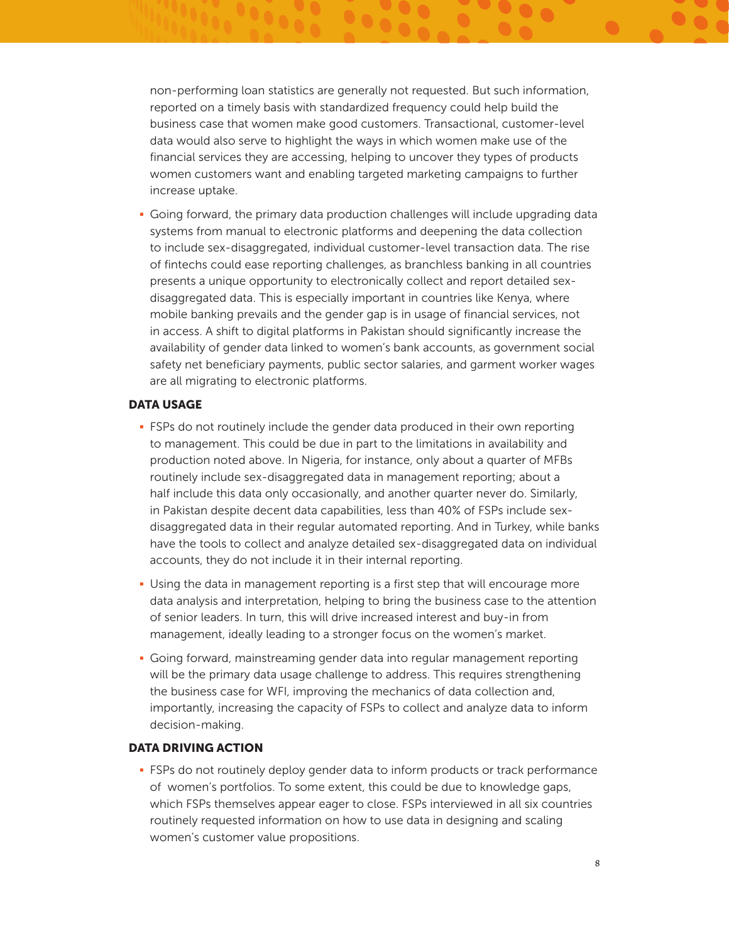non-performing loan statistics are generally not requested. But such information, reported on a timely basis with standardized frequency could help build the business case that women make good customers. Transactional, customer-level data would also serve to highlight the ways in which women make use of the financial services they are accessing, helping to uncover they types of products women customers want and enabling targeted marketing campaigns to further increase uptake.

• Going forward, the primary data production challenges will include upgrading data systems from manual to electronic platforms and deepening the data collection to include sex-disaggregated, individual customer-level transaction data. The rise of fintechs could ease reporting challenges, as branchless banking in all countries presents a unique opportunity to electronically collect and report detailed sexdisaggregated data. This is especially important in countries like Kenya, where mobile banking prevails and the gender gap is in usage of financial services, not in access. A shift to digital platforms in Pakistan should significantly increase the availability of gender data linked to women's bank accounts, as government social safety net beneficiary payments, public sector salaries, and garment worker wages are all migrating to electronic platforms.

#### DATA USAGE

- FSPs do not routinely include the gender data produced in their own reporting to management. This could be due in part to the limitations in availability and production noted above. In Nigeria, for instance, only about a quarter of MFBs routinely include sex-disaggregated data in management reporting; about a half include this data only occasionally, and another quarter never do. Similarly, in Pakistan despite decent data capabilities, less than 40% of FSPs include sexdisaggregated data in their regular automated reporting. And in Turkey, while banks have the tools to collect and analyze detailed sex-disaggregated data on individual accounts, they do not include it in their internal reporting.
- Using the data in management reporting is a first step that will encourage more data analysis and interpretation, helping to bring the business case to the attention of senior leaders. In turn, this will drive increased interest and buy-in from management, ideally leading to a stronger focus on the women's market.
- § Going forward, mainstreaming gender data into regular management reporting will be the primary data usage challenge to address. This requires strengthening the business case for WFI, improving the mechanics of data collection and, importantly, increasing the capacity of FSPs to collect and analyze data to inform decision-making.

### DATA DRIVING ACTION

• FSPs do not routinely deploy gender data to inform products or track performance of women's portfolios. To some extent, this could be due to knowledge gaps, which FSPs themselves appear eager to close. FSPs interviewed in all six countries routinely requested information on how to use data in designing and scaling women's customer value propositions.